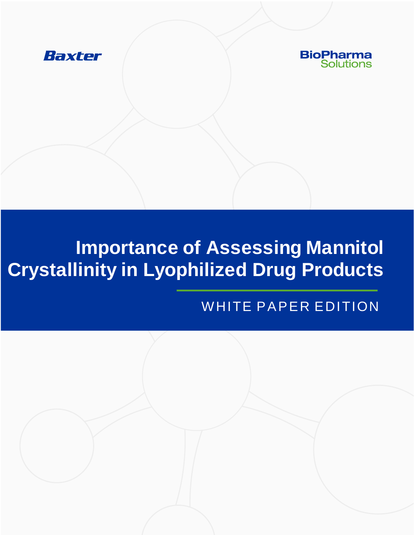



# **Importance of Assessing Mannitol Crystallinity in Lyophilized Drug Products**

### WHITE PAPER EDITION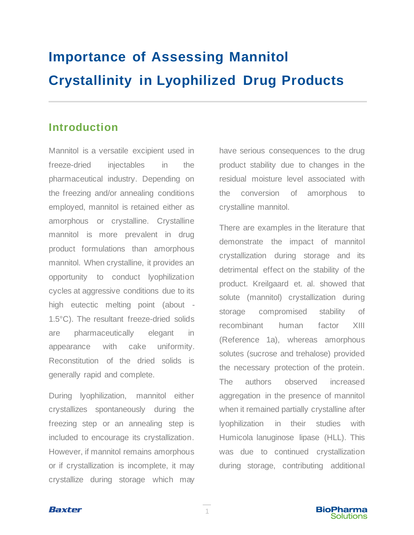## **Importance of Assessing Mannitol Crystallinity in Lyophilized Drug Products**

#### **Introduction**

Mannitol is a versatile excipient used in freeze-dried injectables in the pharmaceutical industry. Depending on the freezing and/or annealing conditions employed, mannitol is retained either as amorphous or crystalline. Crystalline mannitol is more prevalent in drug product formulations than amorphous mannitol. When crystalline, it provides an opportunity to conduct lyophilization cycles at aggressive conditions due to its high eutectic melting point (about - 1.5°C). The resultant freeze-dried solids are pharmaceutically elegant in appearance with cake uniformity. Reconstitution of the dried solids is generally rapid and complete.

During lyophilization, mannitol either crystallizes spontaneously during the freezing step or an annealing step is included to encourage its crystallization. However, if mannitol remains amorphous or if crystallization is incomplete, it may crystallize during storage which may

have serious consequences to the drug product stability due to changes in the residual moisture level associated with the conversion of amorphous to crystalline mannitol.

There are examples in the literature that demonstrate the impact of mannitol crystallization during storage and its detrimental effect on the stability of the product. Kreilgaard et. al. showed that solute (mannitol) crystallization during storage compromised stability of recombinant human factor XIII (Reference 1a), whereas amorphous solutes (sucrose and trehalose) provided the necessary protection of the protein. The authors observed increased aggregation in the presence of mannitol when it remained partially crystalline after lyophilization in their studies with Humicola lanuginose lipase (HLL). This was due to continued crystallization during storage, contributing additional



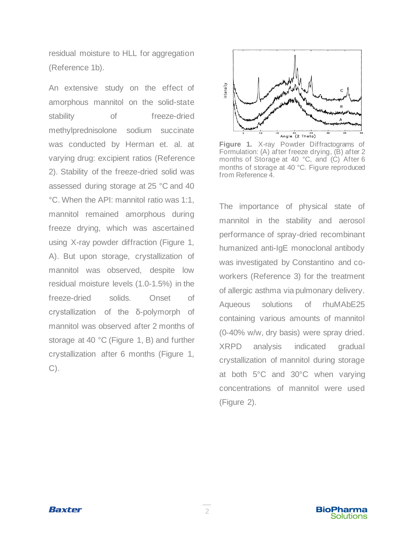residual moisture to HLL for aggregation (Reference 1b).

An extensive study on the effect of amorphous mannitol on the solid-state stability of freeze-dried methylprednisolone sodium succinate was conducted by Herman et. al. at varying drug: excipient ratios (Reference 2). Stability of the freeze-dried solid was assessed during storage at 25 °C and 40 °C. When the API: mannitol ratio was 1:1, mannitol remained amorphous during freeze drying, which was ascertained using X-ray powder diffraction (Figure 1, A). But upon storage, crystallization of mannitol was observed, despite low residual moisture levels (1.0-1.5%) in the freeze-dried solids. Onset of crystallization of the δ-polymorph of mannitol was observed after 2 months of storage at 40 °C (Figure 1, B) and further crystallization after 6 months (Figure 1, C).



**Figure 1.** X-ray Powder Diffractograms of Formulation: (A) after freeze drying, (B) after 2 months of Storage at 40 °C, and (C) After 6 months of storage at 40 °C. Figure reproduced from Reference 4.

The importance of physical state of mannitol in the stability and aerosol performance of spray-dried recombinant humanized anti-IgE monoclonal antibody was investigated by Constantino and coworkers (Reference 3) for the treatment of allergic asthma via pulmonary delivery. Aqueous solutions of rhuMAbE25 containing various amounts of mannitol (0-40% w/w, dry basis) were spray dried. XRPD analysis indicated gradual crystallization of mannitol during storage at both 5°C and 30°C when varying concentrations of mannitol were used (Figure 2).

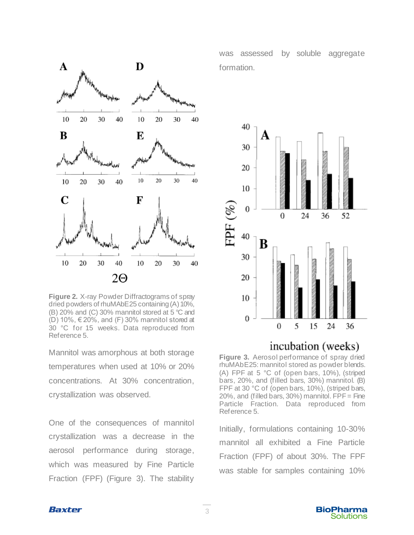

**Figure 2.** X-ray Powder Diffractograms of spray dried powders of rhuMAbE25 containing (A) 10%, (B) 20% and (C) 30% mannitol stored at 5 °C and  $(D)$  10%,  $\in$  20%, and (F) 30% mannitol stored at 30 °C for 15 weeks. Data reproduced from Reference 5.

Mannitol was amorphous at both storage temperatures when used at 10% or 20% concentrations. At 30% concentration, crystallization was observed.

One of the consequences of mannitol crystallization was a decrease in the aerosol performance during storage, which was measured by Fine Particle Fraction (FPF) (Figure 3). The stability was assessed by soluble aggregate formation.



#### incubation (weeks)

**Figure 3.** Aerosol performance of spray dried rhuMAbE25: mannitol stored as powder blends. (A) FPF at 5 °C of (open bars, 10%), (striped bars, 20%, and (filled bars, 30%) mannitol. (B) FPF at 30 °C of (open bars, 10%), (striped bars, 20%, and (filled bars,  $30\%$ ) mannitol. FPF = Fine Particle Fraction. Data reproduced from Reference 5.

Initially, formulations containing 10-30% mannitol all exhibited a Fine Particle Fraction (FPF) of about 30%. The FPF was stable for samples containing 10%



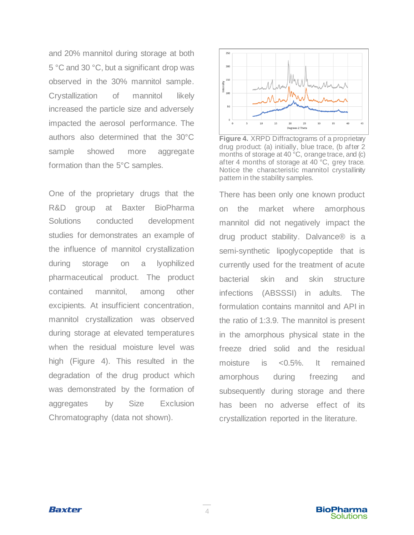and 20% mannitol during storage at both 5 °C and 30 °C, but a significant drop was observed in the 30% mannitol sample. Crystallization of mannitol likely increased the particle size and adversely impacted the aerosol performance. The authors also determined that the 30°C sample showed more aggregate formation than the 5°C samples.

One of the proprietary drugs that the R&D group at Baxter BioPharma Solutions conducted development studies for demonstrates an example of the influence of mannitol crystallization during storage on a lyophilized pharmaceutical product. The product contained mannitol, among other excipients. At insufficient concentration, mannitol crystallization was observed during storage at elevated temperatures when the residual moisture level was high (Figure 4). This resulted in the degradation of the drug product which was demonstrated by the formation of aggregates by Size Exclusion Chromatography (data not shown).



**Figure 4.** XRPD Diffractograms of a proprietary drug product: (a) initially, blue trace, (b after 2 months of storage at 40 °C, orange trace, and (c) after 4 months of storage at 40 °C, grey trace. Notice the characteristic mannitol crystallinity pattern in the stability samples.

There has been only one known product on the market where amorphous mannitol did not negatively impact the drug product stability. Dalvance® is a semi-synthetic lipoglycopeptide that is currently used for the treatment of acute bacterial skin and skin structure infections (ABSSSI) in adults. The formulation contains mannitol and API in the ratio of 1:3.9. The mannitol is present in the amorphous physical state in the freeze dried solid and the residual moisture is <0.5%. It remained amorphous during freezing and subsequently during storage and there has been no adverse effect of its crystallization reported in the literature.

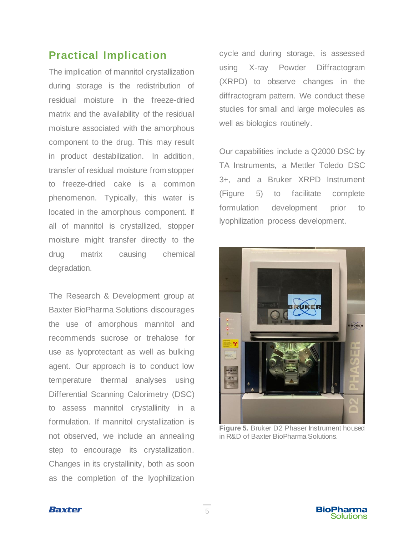#### **Practical Implication**

The implication of mannitol crystallization during storage is the redistribution of residual moisture in the freeze-dried matrix and the availability of the residual moisture associated with the amorphous component to the drug. This may result in product destabilization. In addition, transfer of residual moisture from stopper to freeze-dried cake is a common phenomenon. Typically, this water is located in the amorphous component. If all of mannitol is crystallized, stopper moisture might transfer directly to the drug matrix causing chemical degradation.

The Research & Development group at Baxter BioPharma Solutions discourages the use of amorphous mannitol and recommends sucrose or trehalose for use as lyoprotectant as well as bulking agent. Our approach is to conduct low temperature thermal analyses using Differential Scanning Calorimetry (DSC) to assess mannitol crystallinity in a formulation. If mannitol crystallization is not observed, we include an annealing step to encourage its crystallization. Changes in its crystallinity, both as soon as the completion of the lyophilization cycle and during storage, is assessed using X-ray Powder Diffractogram (XRPD) to observe changes in the diffractogram pattern. We conduct these studies for small and large molecules as well as biologics routinely.

Our capabilities include a Q2000 DSC by TA Instruments, a Mettler Toledo DSC 3+, and a Bruker XRPD Instrument (Figure 5) to facilitate complete formulation development prior to lyophilization process development.



**Figure 5.** Bruker D2 Phaser Instrument housed in R&D of Baxter BioPharma Solutions.

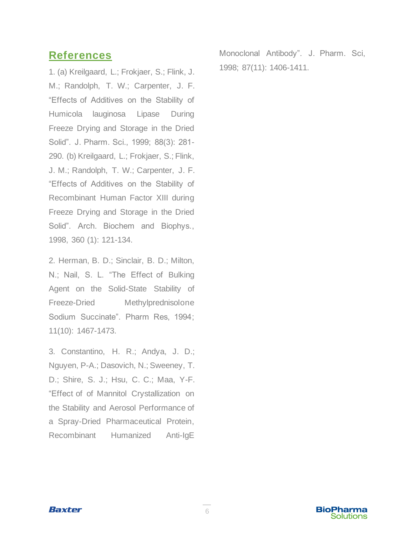#### **References**

1. (a) Kreilgaard, L.; Frokjaer, S.; Flink, J. M.; Randolph, T. W.; Carpenter, J. F. "Effects of Additives on the Stability of Humicola lauginosa Lipase During Freeze Drying and Storage in the Dried Solid". J. Pharm. Sci., 1999; 88(3): 281- 290. (b) Kreilgaard, L.; Frokjaer, S.; Flink, J. M.; Randolph, T. W.; Carpenter, J. F. "Effects of Additives on the Stability of Recombinant Human Factor XIII during Freeze Drying and Storage in the Dried Solid". Arch. Biochem and Biophys., 1998, 360 (1): 121-134.

2. Herman, B. D.; Sinclair, B. D.; Milton, N.; Nail, S. L. "The Effect of Bulking Agent on the Solid-State Stability of Freeze-Dried Methylprednisolone Sodium Succinate". Pharm Res, 1994; 11(10): 1467-1473.

3. Constantino, H. R.; Andya, J. D.; Nguyen, P-A.; Dasovich, N.; Sweeney, T. D.; Shire, S. J.; Hsu, C. C.; Maa, Y-F. "Effect of of Mannitol Crystallization on the Stability and Aerosol Performance of a Spray-Dried Pharmaceutical Protein, Recombinant Humanized Anti-IgE

Monoclonal Antibody". J. Pharm. Sci, 1998; 87(11): 1406-1411.